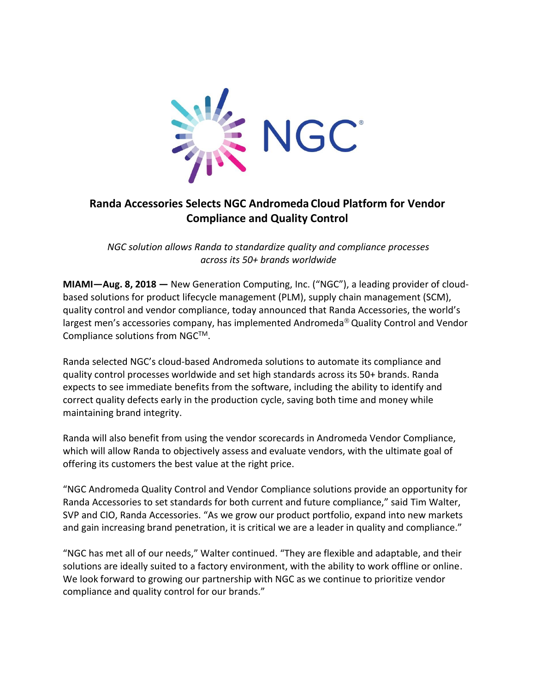

## **Randa Accessories Selects NGC Andromeda Cloud Platform for Vendor Compliance and Quality Control**

*NGC solution allows Randa to standardize quality and compliance processes across its 50+ brands worldwide*

**MIAMI—Aug. 8, 2018 —** New Generation Computing, Inc. ("NGC"), a leading provider of cloudbased solutions for product lifecycle management (PLM), supply chain management (SCM), quality control and vendor compliance, today announced that Randa Accessories, the world's largest men's accessories company, has implemented Andromeda® Quality Control and Vendor Compliance solutions from NGC™.

Randa selected NGC's cloud-based Andromeda solutions to automate its compliance and quality control processes worldwide and set high standards across its 50+ brands. Randa expects to see immediate benefits from the software, including the ability to identify and correct quality defects early in the production cycle, saving both time and money while maintaining brand integrity.

Randa will also benefit from using the vendor scorecards in Andromeda Vendor Compliance, which will allow Randa to objectively assess and evaluate vendors, with the ultimate goal of offering its customers the best value at the right price.

"NGC Andromeda Quality Control and Vendor Compliance solutions provide an opportunity for Randa Accessories to set standards for both current and future compliance," said Tim Walter, SVP and CIO, Randa Accessories. "As we grow our product portfolio, expand into new markets and gain increasing brand penetration, it is critical we are a leader in quality and compliance."

"NGC has met all of our needs," Walter continued. "They are flexible and adaptable, and their solutions are ideally suited to a factory environment, with the ability to work offline or online. We look forward to growing our partnership with NGC as we continue to prioritize vendor compliance and quality control for our brands."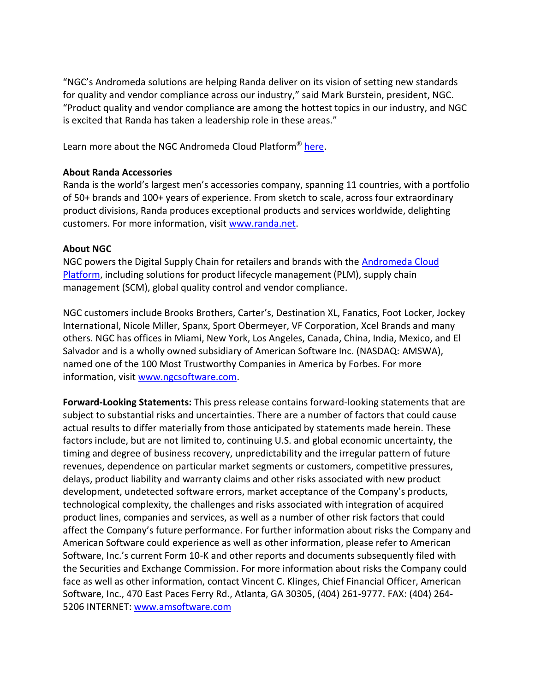"NGC's Andromeda solutions are helping Randa deliver on its vision of setting new standards for quality and vendor compliance across our industry," said Mark Burstein, president, NGC. "Product quality and vendor compliance are among the hottest topics in our industry, and NGC is excited that Randa has taken a leadership role in these areas."

Learn more about the NGC Andromeda Cloud Platform<sup>®</sup> [here.](https://www.ngcsoftware.com/landing/ngcandromedacloudplatform/)

## **About Randa Accessories**

Randa is the world's largest men's accessories company, spanning 11 countries, with a portfolio of 50+ brands and 100+ years of experience. From sketch to scale, across four extraordinary product divisions, Randa produces exceptional products and services worldwide, delighting customers. For more information, visit [www.randa.net.](http://www.randa.net/)

## **About NGC**

NGC powers the Digital Supply Chain for retailers and brands with the [Andromeda](https://www.ngcsoftware.com/landing/ngcandromedacloudplatform/) Cloud Platform, including solutions for product lifecycle management (PLM), supply chain management (SCM), global quality control and vendor compliance.

NGC customers include Brooks Brothers, Carter's, Destination XL, Fanatics, Foot Locker, Jockey International, Nicole Miller, Spanx, Sport Obermeyer, VF Corporation, Xcel Brands and many others. NGC has offices in Miami, New York, Los Angeles, Canada, China, India, Mexico, and El Salvador and is a wholly owned subsidiary of American Software Inc. (NASDAQ: AMSWA), named one of the 100 Most Trustworthy Companies in America by Forbes. For more information, visit [www.ngcsoftware.com.](http://www.ngcsoftware.com/)

**Forward-Looking Statements:** This press release contains forward-looking statements that are subject to substantial risks and uncertainties. There are a number of factors that could cause actual results to differ materially from those anticipated by statements made herein. These factors include, but are not limited to, continuing U.S. and global economic uncertainty, the timing and degree of business recovery, unpredictability and the irregular pattern of future revenues, dependence on particular market segments or customers, competitive pressures, delays, product liability and warranty claims and other risks associated with new product development, undetected software errors, market acceptance of the Company's products, technological complexity, the challenges and risks associated with integration of acquired product lines, companies and services, as well as a number of other risk factors that could affect the Company's future performance. For further information about risks the Company and American Software could experience as well as other information, please refer to American Software, Inc.'s current Form 10-K and other reports and documents subsequently filed with the Securities and Exchange Commission. For more information about risks the Company could face as well as other information, contact Vincent C. Klinges, Chief Financial Officer, American Software, Inc., 470 East Paces Ferry Rd., Atlanta, GA 30305, (404) 261-9777. FAX: (404) 264- 5206 INTERNET: [www.amsoftware.com](http://www.amsoftware.com/)